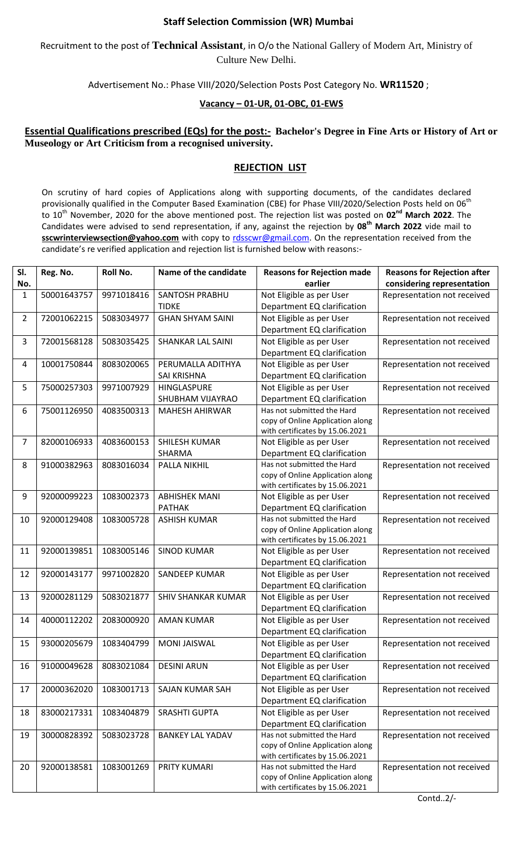## **Staff Selection Commission (WR) Mumbai**

Recruitment to the post of **Technical Assistant**, in O/o the National Gallery of Modern Art, Ministry of Culture New Delhi.

Advertisement No.: Phase VIII/2020/Selection Posts Post Category No. **WR11520** ;

## **Vacancy – 01-UR, 01-OBC, 01-EWS**

## **Essential Qualifications prescribed (EQs) for the post:- Bachelor's Degree in Fine Arts or History of Art or Museology or Art Criticism from a recognised university.**

## **REJECTION LIST**

On scrutiny of hard copies of Applications along with supporting documents, of the candidates declared provisionally qualified in the Computer Based Examination (CBE) for Phase VIII/2020/Selection Posts held on 06<sup>th</sup> to 10<sup>th</sup> November, 2020 for the above mentioned post. The rejection list was posted on **02<sup>nd</sup> March 2022**. The Candidates were advised to send representation, if any, against the rejection by **08th March 2022** vide mail to **sscwrinterviewsection@yahoo.com** with copy to [rdsscwr@gmail.com.](mailto:rdsscwr@gmail.com) On the representation received from the candidate's re verified application and rejection list is furnished below with reasons:-

| SI. | Reg. No.    | Roll No.   | Name of the candidate                  | <b>Reasons for Rejection made</b>                         | <b>Reasons for Rejection after</b> |
|-----|-------------|------------|----------------------------------------|-----------------------------------------------------------|------------------------------------|
| No. |             |            |                                        | earlier                                                   | considering representation         |
| 1   | 50001643757 | 9971018416 | <b>SANTOSH PRABHU</b>                  | Not Eligible as per User                                  | Representation not received        |
|     |             |            | <b>TIDKE</b>                           | Department EQ clarification                               |                                    |
| 2   | 72001062215 | 5083034977 | <b>GHAN SHYAM SAINI</b>                | Not Eligible as per User                                  | Representation not received        |
|     |             |            |                                        | Department EQ clarification                               |                                    |
| 3   | 72001568128 | 5083035425 | <b>SHANKAR LAL SAINI</b>               | Not Eligible as per User                                  | Representation not received        |
|     |             |            |                                        | Department EQ clarification                               |                                    |
| 4   | 10001750844 | 8083020065 | PERUMALLA ADITHYA                      | Not Eligible as per User                                  | Representation not received        |
|     |             |            | SAI KRISHNA                            | Department EQ clarification                               |                                    |
| 5   | 75000257303 | 9971007929 | HINGLASPURE                            | Not Eligible as per User                                  | Representation not received        |
|     |             |            | SHUBHAM VIJAYRAO                       | Department EQ clarification                               |                                    |
| 6   | 75001126950 | 4083500313 | <b>MAHESH AHIRWAR</b>                  | Has not submitted the Hard                                | Representation not received        |
|     |             |            |                                        | copy of Online Application along                          |                                    |
|     |             |            |                                        | with certificates by 15.06.2021                           |                                    |
| 7   | 82000106933 | 4083600153 | SHILESH KUMAR                          | Not Eligible as per User                                  | Representation not received        |
|     |             |            | SHARMA                                 | Department EQ clarification                               |                                    |
| 8   | 91000382963 | 8083016034 | PALLA NIKHIL                           | Has not submitted the Hard                                | Representation not received        |
|     |             |            |                                        | copy of Online Application along                          |                                    |
|     |             |            |                                        | with certificates by 15.06.2021                           |                                    |
| 9   | 92000099223 | 1083002373 | <b>ABHISHEK MANI</b>                   | Not Eligible as per User                                  | Representation not received        |
|     |             |            | <b>PATHAK</b>                          | Department EQ clarification<br>Has not submitted the Hard |                                    |
| 10  | 92000129408 | 1083005728 | <b>ASHISH KUMAR</b>                    | copy of Online Application along                          | Representation not received        |
|     |             |            |                                        | with certificates by 15.06.2021                           |                                    |
| 11  | 92000139851 | 1083005146 | <b>SINOD KUMAR</b>                     | Not Eligible as per User                                  | Representation not received        |
|     |             |            |                                        | Department EQ clarification                               |                                    |
| 12  | 92000143177 | 9971002820 | <b>SANDEEP KUMAR</b>                   | Not Eligible as per User                                  | Representation not received        |
|     |             |            |                                        | Department EQ clarification                               |                                    |
| 13  | 92000281129 | 5083021877 | <b>SHIV SHANKAR KUMAR</b>              | Not Eligible as per User                                  | Representation not received        |
|     |             |            |                                        | Department EQ clarification                               |                                    |
| 14  | 40000112202 | 2083000920 | <b>AMAN KUMAR</b>                      | Not Eligible as per User                                  | Representation not received        |
|     |             |            |                                        | Department EQ clarification                               |                                    |
|     |             |            | 15 93000205679 1083404799 MONI JAISWAL | Not Eligible as per User                                  | Representation not received        |
|     |             |            |                                        | Department EQ clarification                               |                                    |
| 16  | 91000049628 | 8083021084 | <b>DESINI ARUN</b>                     | Not Eligible as per User                                  | Representation not received        |
|     |             |            |                                        | Department EQ clarification                               |                                    |
| 17  | 20000362020 | 1083001713 | SAJAN KUMAR SAH                        | Not Eligible as per User                                  | Representation not received        |
|     |             |            |                                        | Department EQ clarification                               |                                    |
| 18  | 83000217331 | 1083404879 | <b>SRASHTI GUPTA</b>                   | Not Eligible as per User                                  | Representation not received        |
|     |             |            |                                        | Department EQ clarification                               |                                    |
| 19  | 30000828392 | 5083023728 | <b>BANKEY LAL YADAV</b>                | Has not submitted the Hard                                | Representation not received        |
|     |             |            |                                        | copy of Online Application along                          |                                    |
|     |             |            |                                        | with certificates by 15.06.2021                           |                                    |
| 20  | 92000138581 | 1083001269 | PRITY KUMARI                           | Has not submitted the Hard                                | Representation not received        |
|     |             |            |                                        | copy of Online Application along                          |                                    |
|     |             |            |                                        | with certificates by 15.06.2021                           |                                    |

Contd..2/-